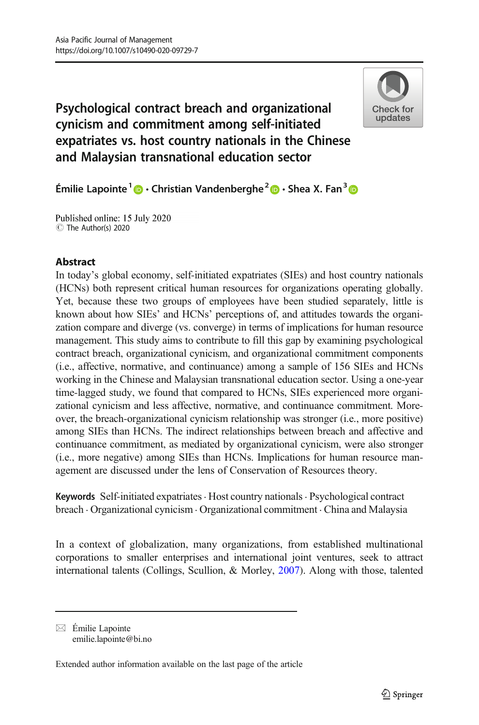# Psychological contract breach and organizational cynicism and commitment among self-initiated expatriates vs. host country nationals in the Chinese and Malaysian transnational education sector



Émilie Lapointe<sup>1</sup>  $\bigcirc$  · Christian Vandenberghe<sup>2</sup>  $\bigcirc$  · Shea X. Fan<sup>3</sup>  $\bigcirc$ 

Published online: 15 July 2020 C The Author(s) 2020

## Abstract

In today's global economy, self-initiated expatriates (SIEs) and host country nationals (HCNs) both represent critical human resources for organizations operating globally. Yet, because these two groups of employees have been studied separately, little is known about how SIEs' and HCNs' perceptions of, and attitudes towards the organization compare and diverge (vs. converge) in terms of implications for human resource management. This study aims to contribute to fill this gap by examining psychological contract breach, organizational cynicism, and organizational commitment components (i.e., affective, normative, and continuance) among a sample of 156 SIEs and HCNs working in the Chinese and Malaysian transnational education sector. Using a one-year time-lagged study, we found that compared to HCNs, SIEs experienced more organizational cynicism and less affective, normative, and continuance commitment. Moreover, the breach-organizational cynicism relationship was stronger (i.e., more positive) among SIEs than HCNs. The indirect relationships between breach and affective and continuance commitment, as mediated by organizational cynicism, were also stronger (i.e., more negative) among SIEs than HCNs. Implications for human resource management are discussed under the lens of Conservation of Resources theory.

Keywords Self-initiated expatriates · Host country nationals · Psychological contract breach . Organizational cynicism . Organizational commitment . China and Malaysia

In a context of globalization, many organizations, from established multinational corporations to smaller enterprises and international joint ventures, seek to attract international talents (Collings, Scullion, & Morley, [2007\)](#page-19-0). Along with those, talented

 $\boxtimes$  Émilie Lapointe [emilie.lapointe@bi.no](mailto:emilie.lapointe@bi.no)

Extended author information available on the last page of the article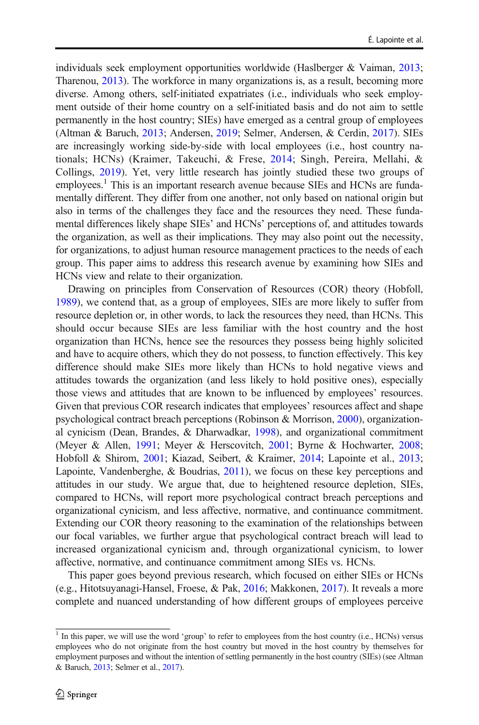individuals seek employment opportunities worldwide (Haslberger & Vaiman, [2013;](#page-20-0) Tharenou, [2013\)](#page-22-0). The workforce in many organizations is, as a result, becoming more diverse. Among others, self-initiated expatriates (i.e., individuals who seek employment outside of their home country on a self-initiated basis and do not aim to settle permanently in the host country; SIEs) have emerged as a central group of employees (Altman & Baruch, [2013](#page-18-0); Andersen, [2019](#page-19-0); Selmer, Andersen, & Cerdin, [2017](#page-22-0)). SIEs are increasingly working side-by-side with local employees (i.e., host country nationals; HCNs) (Kraimer, Takeuchi, & Frese, [2014](#page-20-0); Singh, Pereira, Mellahi, & Collings, [2019](#page-22-0)). Yet, very little research has jointly studied these two groups of employees.<sup>1</sup> This is an important research avenue because SIEs and HCNs are fundamentally different. They differ from one another, not only based on national origin but also in terms of the challenges they face and the resources they need. These fundamental differences likely shape SIEs' and HCNs' perceptions of, and attitudes towards the organization, as well as their implications. They may also point out the necessity, for organizations, to adjust human resource management practices to the needs of each group. This paper aims to address this research avenue by examining how SIEs and HCNs view and relate to their organization.

Drawing on principles from Conservation of Resources (COR) theory (Hobfoll, [1989\)](#page-20-0), we contend that, as a group of employees, SIEs are more likely to suffer from resource depletion or, in other words, to lack the resources they need, than HCNs. This should occur because SIEs are less familiar with the host country and the host organization than HCNs, hence see the resources they possess being highly solicited and have to acquire others, which they do not possess, to function effectively. This key difference should make SIEs more likely than HCNs to hold negative views and attitudes towards the organization (and less likely to hold positive ones), especially those views and attitudes that are known to be influenced by employees' resources. Given that previous COR research indicates that employees' resources affect and shape psychological contract breach perceptions (Robinson & Morrison, [2000\)](#page-22-0), organizational cynicism (Dean, Brandes, & Dharwadkar, [1998](#page-19-0)), and organizational commitment (Meyer & Allen, [1991;](#page-21-0) Meyer & Herscovitch, [2001](#page-21-0); Byrne & Hochwarter, [2008;](#page-19-0) Hobfoll & Shirom, [2001](#page-20-0); Kiazad, Seibert, & Kraimer, [2014;](#page-20-0) Lapointe et al., [2013;](#page-20-0) Lapointe, Vandenberghe, & Boudrias, [2011\)](#page-21-0), we focus on these key perceptions and attitudes in our study. We argue that, due to heightened resource depletion, SIEs, compared to HCNs, will report more psychological contract breach perceptions and organizational cynicism, and less affective, normative, and continuance commitment. Extending our COR theory reasoning to the examination of the relationships between our focal variables, we further argue that psychological contract breach will lead to increased organizational cynicism and, through organizational cynicism, to lower affective, normative, and continuance commitment among SIEs vs. HCNs.

This paper goes beyond previous research, which focused on either SIEs or HCNs (e.g., Hitotsuyanagi-Hansel, Froese, & Pak, [2016;](#page-20-0) Makkonen, [2017\)](#page-21-0). It reveals a more complete and nuanced understanding of how different groups of employees perceive

<sup>&</sup>lt;sup>1</sup> In this paper, we will use the word 'group' to refer to employees from the host country (i.e., HCNs) versus employees who do not originate from the host country but moved in the host country by themselves for employment purposes and without the intention of settling permanently in the host country (SIEs) (see Altman & Baruch, [2013](#page-18-0); Selmer et al., [2017\)](#page-22-0).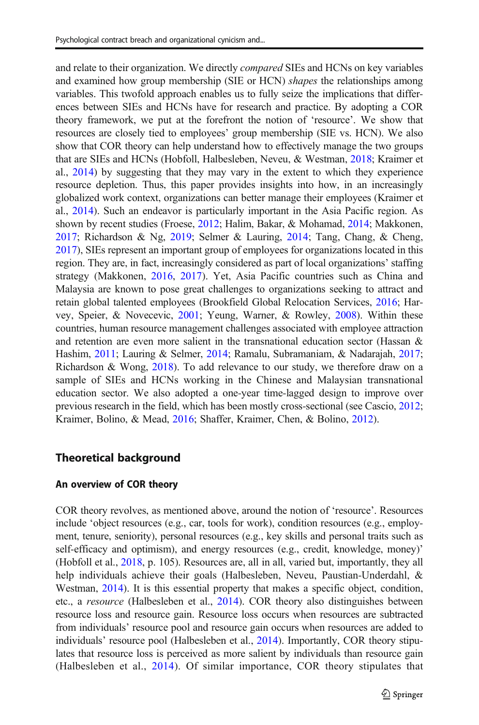and relate to their organization. We directly compared SIEs and HCNs on key variables and examined how group membership (SIE or HCN) *shapes* the relationships among variables. This twofold approach enables us to fully seize the implications that differences between SIEs and HCNs have for research and practice. By adopting a COR theory framework, we put at the forefront the notion of 'resource'. We show that resources are closely tied to employees' group membership (SIE vs. HCN). We also show that COR theory can help understand how to effectively manage the two groups that are SIEs and HCNs (Hobfoll, Halbesleben, Neveu, & Westman, [2018](#page-20-0); Kraimer et al., [2014](#page-20-0)) by suggesting that they may vary in the extent to which they experience resource depletion. Thus, this paper provides insights into how, in an increasingly globalized work context, organizations can better manage their employees (Kraimer et al., [2014\)](#page-20-0). Such an endeavor is particularly important in the Asia Pacific region. As shown by recent studies (Froese, [2012](#page-19-0); Halim, Bakar, & Mohamad, [2014;](#page-20-0) Makkonen, [2017;](#page-21-0) Richardson & Ng, [2019;](#page-22-0) Selmer & Lauring, [2014;](#page-22-0) Tang, Chang, & Cheng, [2017\)](#page-22-0), SIEs represent an important group of employees for organizations located in this region. They are, in fact, increasingly considered as part of local organizations' staffing strategy (Makkonen, [2016,](#page-21-0) [2017](#page-21-0)). Yet, Asia Pacific countries such as China and Malaysia are known to pose great challenges to organizations seeking to attract and retain global talented employees (Brookfield Global Relocation Services, [2016;](#page-19-0) Harvey, Speier, & Novecevic, [2001](#page-20-0); Yeung, Warner, & Rowley, [2008](#page-23-0)). Within these countries, human resource management challenges associated with employee attraction and retention are even more salient in the transnational education sector (Hassan & Hashim, [2011](#page-20-0); Lauring & Selmer, [2014](#page-21-0); Ramalu, Subramaniam, & Nadarajah, [2017;](#page-21-0) Richardson & Wong, [2018](#page-22-0)). To add relevance to our study, we therefore draw on a sample of SIEs and HCNs working in the Chinese and Malaysian transnational education sector. We also adopted a one-year time-lagged design to improve over previous research in the field, which has been mostly cross-sectional (see Cascio, [2012;](#page-19-0) Kraimer, Bolino, & Mead, [2016;](#page-20-0) Shaffer, Kraimer, Chen, & Bolino, [2012\)](#page-22-0).

## Theoretical background

#### An overview of COR theory

COR theory revolves, as mentioned above, around the notion of 'resource'. Resources include 'object resources (e.g., car, tools for work), condition resources (e.g., employment, tenure, seniority), personal resources (e.g., key skills and personal traits such as self-efficacy and optimism), and energy resources (e.g., credit, knowledge, money)' (Hobfoll et al., [2018,](#page-20-0) p. 105). Resources are, all in all, varied but, importantly, they all help individuals achieve their goals (Halbesleben, Neveu, Paustian-Underdahl, & Westman, [2014](#page-20-0)). It is this essential property that makes a specific object, condition, etc., a resource (Halbesleben et al., [2014\)](#page-20-0). COR theory also distinguishes between resource loss and resource gain. Resource loss occurs when resources are subtracted from individuals' resource pool and resource gain occurs when resources are added to individuals' resource pool (Halbesleben et al., [2014](#page-20-0)). Importantly, COR theory stipulates that resource loss is perceived as more salient by individuals than resource gain (Halbesleben et al., [2014\)](#page-20-0). Of similar importance, COR theory stipulates that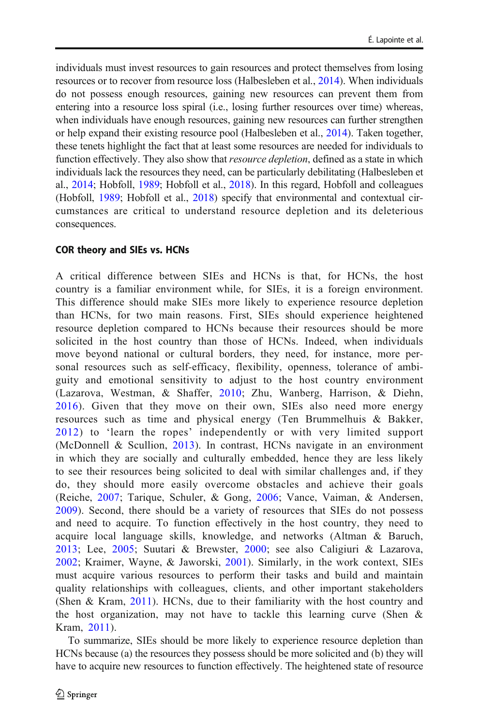individuals must invest resources to gain resources and protect themselves from losing resources or to recover from resource loss (Halbesleben et al., [2014\)](#page-20-0). When individuals do not possess enough resources, gaining new resources can prevent them from entering into a resource loss spiral (i.e., losing further resources over time) whereas, when individuals have enough resources, gaining new resources can further strengthen or help expand their existing resource pool (Halbesleben et al., [2014\)](#page-20-0). Taken together, these tenets highlight the fact that at least some resources are needed for individuals to function effectively. They also show that *resource depletion*, defined as a state in which individuals lack the resources they need, can be particularly debilitating (Halbesleben et al., [2014](#page-20-0); Hobfoll, [1989](#page-20-0); Hobfoll et al., [2018\)](#page-20-0). In this regard, Hobfoll and colleagues (Hobfoll, [1989](#page-20-0); Hobfoll et al., [2018](#page-20-0)) specify that environmental and contextual circumstances are critical to understand resource depletion and its deleterious consequences.

#### COR theory and SIEs vs. HCNs

A critical difference between SIEs and HCNs is that, for HCNs, the host country is a familiar environment while, for SIEs, it is a foreign environment. This difference should make SIEs more likely to experience resource depletion than HCNs, for two main reasons. First, SIEs should experience heightened resource depletion compared to HCNs because their resources should be more solicited in the host country than those of HCNs. Indeed, when individuals move beyond national or cultural borders, they need, for instance, more personal resources such as self-efficacy, flexibility, openness, tolerance of ambiguity and emotional sensitivity to adjust to the host country environment (Lazarova, Westman, & Shaffer, [2010;](#page-21-0) Zhu, Wanberg, Harrison, & Diehn, [2016\)](#page-23-0). Given that they move on their own, SIEs also need more energy resources such as time and physical energy (Ten Brummelhuis & Bakker, [2012\)](#page-22-0) to 'learn the ropes' independently or with very limited support (McDonnell & Scullion, [2013\)](#page-21-0). In contrast, HCNs navigate in an environment in which they are socially and culturally embedded, hence they are less likely to see their resources being solicited to deal with similar challenges and, if they do, they should more easily overcome obstacles and achieve their goals (Reiche, [2007;](#page-22-0) Tarique, Schuler, & Gong, [2006;](#page-22-0) Vance, Vaiman, & Andersen, [2009](#page-22-0)). Second, there should be a variety of resources that SIEs do not possess and need to acquire. To function effectively in the host country, they need to acquire local language skills, knowledge, and networks (Altman & Baruch, [2013](#page-18-0); Lee, [2005](#page-21-0); Suutari & Brewster, [2000;](#page-22-0) see also Caligiuri & Lazarova, [2002](#page-19-0); Kraimer, Wayne, & Jaworski, [2001](#page-20-0)). Similarly, in the work context, SIEs must acquire various resources to perform their tasks and build and maintain quality relationships with colleagues, clients, and other important stakeholders (Shen & Kram, [2011\)](#page-22-0). HCNs, due to their familiarity with the host country and the host organization, may not have to tackle this learning curve (Shen  $\&$ Kram, [2011](#page-22-0)).

To summarize, SIEs should be more likely to experience resource depletion than HCNs because (a) the resources they possess should be more solicited and (b) they will have to acquire new resources to function effectively. The heightened state of resource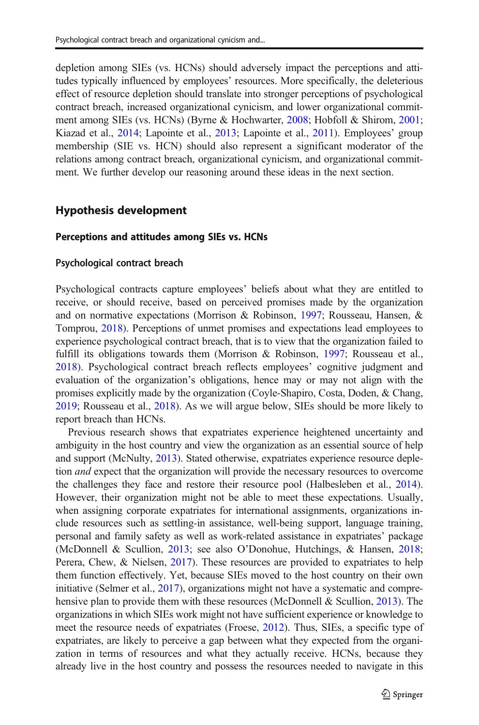depletion among SIEs (vs. HCNs) should adversely impact the perceptions and attitudes typically influenced by employees' resources. More specifically, the deleterious effect of resource depletion should translate into stronger perceptions of psychological contract breach, increased organizational cynicism, and lower organizational commitment among SIEs (vs. HCNs) (Byrne & Hochwarter, [2008;](#page-19-0) Hobfoll & Shirom, [2001;](#page-20-0) Kiazad et al., [2014](#page-20-0); Lapointe et al., [2013;](#page-20-0) Lapointe et al., [2011\)](#page-21-0). Employees' group membership (SIE vs. HCN) should also represent a significant moderator of the relations among contract breach, organizational cynicism, and organizational commitment. We further develop our reasoning around these ideas in the next section.

## Hypothesis development

#### Perceptions and attitudes among SIEs vs. HCNs

#### Psychological contract breach

Psychological contracts capture employees' beliefs about what they are entitled to receive, or should receive, based on perceived promises made by the organization and on normative expectations (Morrison & Robinson, [1997](#page-21-0); Rousseau, Hansen, & Tomprou, [2018\)](#page-22-0). Perceptions of unmet promises and expectations lead employees to experience psychological contract breach, that is to view that the organization failed to fulfill its obligations towards them (Morrison & Robinson, [1997](#page-21-0); Rousseau et al., [2018\)](#page-22-0). Psychological contract breach reflects employees' cognitive judgment and evaluation of the organization's obligations, hence may or may not align with the promises explicitly made by the organization (Coyle-Shapiro, Costa, Doden, & Chang, [2019;](#page-19-0) Rousseau et al., [2018](#page-22-0)). As we will argue below, SIEs should be more likely to report breach than HCNs.

Previous research shows that expatriates experience heightened uncertainty and ambiguity in the host country and view the organization as an essential source of help and support (McNulty, [2013](#page-21-0)). Stated otherwise, expatriates experience resource depletion *and* expect that the organization will provide the necessary resources to overcome the challenges they face and restore their resource pool (Halbesleben et al., [2014\)](#page-20-0). However, their organization might not be able to meet these expectations. Usually, when assigning corporate expatriates for international assignments, organizations include resources such as settling-in assistance, well-being support, language training, personal and family safety as well as work-related assistance in expatriates' package (McDonnell & Scullion, [2013;](#page-21-0) see also O'Donohue, Hutchings, & Hansen, [2018;](#page-21-0) Perera, Chew, & Nielsen, [2017](#page-21-0)). These resources are provided to expatriates to help them function effectively. Yet, because SIEs moved to the host country on their own initiative (Selmer et al., [2017](#page-22-0)), organizations might not have a systematic and comprehensive plan to provide them with these resources (McDonnell & Scullion, [2013\)](#page-21-0). The organizations in which SIEs work might not have sufficient experience or knowledge to meet the resource needs of expatriates (Froese, [2012\)](#page-19-0). Thus, SIEs, a specific type of expatriates, are likely to perceive a gap between what they expected from the organization in terms of resources and what they actually receive. HCNs, because they already live in the host country and possess the resources needed to navigate in this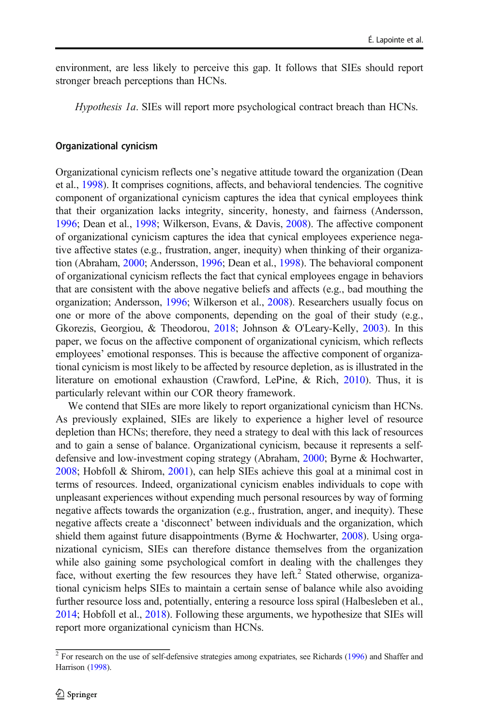environment, are less likely to perceive this gap. It follows that SIEs should report stronger breach perceptions than HCNs.

Hypothesis 1a. SIEs will report more psychological contract breach than HCNs.

#### Organizational cynicism

Organizational cynicism reflects one's negative attitude toward the organization (Dean et al., [1998](#page-19-0)). It comprises cognitions, affects, and behavioral tendencies. The cognitive component of organizational cynicism captures the idea that cynical employees think that their organization lacks integrity, sincerity, honesty, and fairness (Andersson, [1996;](#page-19-0) Dean et al., [1998;](#page-19-0) Wilkerson, Evans, & Davis, [2008](#page-23-0)). The affective component of organizational cynicism captures the idea that cynical employees experience negative affective states (e.g., frustration, anger, inequity) when thinking of their organization (Abraham, [2000;](#page-18-0) Andersson, [1996;](#page-19-0) Dean et al., [1998\)](#page-19-0). The behavioral component of organizational cynicism reflects the fact that cynical employees engage in behaviors that are consistent with the above negative beliefs and affects (e.g., bad mouthing the organization; Andersson, [1996;](#page-19-0) Wilkerson et al., [2008](#page-23-0)). Researchers usually focus on one or more of the above components, depending on the goal of their study (e.g., Gkorezis, Georgiou, & Theodorou, [2018](#page-19-0); Johnson & O'Leary-Kelly, [2003\)](#page-20-0). In this paper, we focus on the affective component of organizational cynicism, which reflects employees' emotional responses. This is because the affective component of organizational cynicism is most likely to be affected by resource depletion, as is illustrated in the literature on emotional exhaustion (Crawford, LePine, & Rich, [2010](#page-19-0)). Thus, it is particularly relevant within our COR theory framework.

We contend that SIEs are more likely to report organizational cynicism than HCNs. As previously explained, SIEs are likely to experience a higher level of resource depletion than HCNs; therefore, they need a strategy to deal with this lack of resources and to gain a sense of balance. Organizational cynicism, because it represents a selfdefensive and low-investment coping strategy (Abraham, [2000;](#page-18-0) Byrne & Hochwarter, [2008;](#page-19-0) Hobfoll & Shirom, [2001\)](#page-20-0), can help SIEs achieve this goal at a minimal cost in terms of resources. Indeed, organizational cynicism enables individuals to cope with unpleasant experiences without expending much personal resources by way of forming negative affects towards the organization (e.g., frustration, anger, and inequity). These negative affects create a 'disconnect' between individuals and the organization, which shield them against future disappointments (Byrne & Hochwarter, [2008](#page-19-0)). Using organizational cynicism, SIEs can therefore distance themselves from the organization while also gaining some psychological comfort in dealing with the challenges they face, without exerting the few resources they have left.<sup>2</sup> Stated otherwise, organizational cynicism helps SIEs to maintain a certain sense of balance while also avoiding further resource loss and, potentially, entering a resource loss spiral (Halbesleben et al., [2014;](#page-20-0) Hobfoll et al., [2018\)](#page-20-0). Following these arguments, we hypothesize that SIEs will report more organizational cynicism than HCNs.

 $2$  For research on the use of self-defensive strategies among expatriates, see Richards [\(1996](#page-22-0)) and Shaffer and Harrison ([1998](#page-22-0)).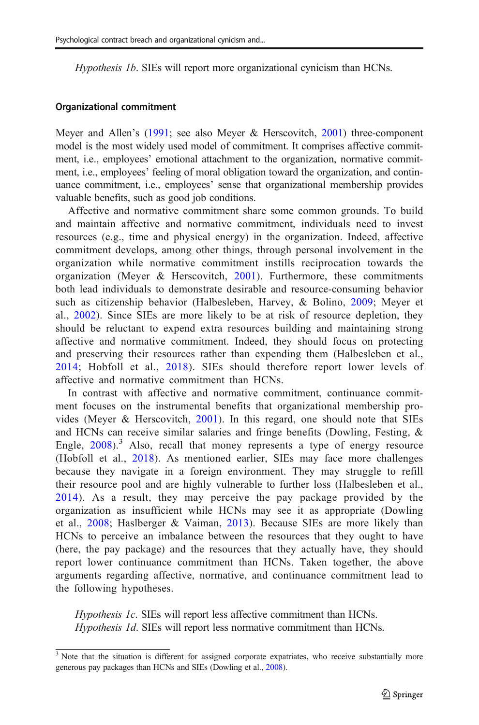Hypothesis 1b. SIEs will report more organizational cynicism than HCNs.

#### Organizational commitment

Meyer and Allen's ([1991](#page-21-0); see also Meyer & Herscovitch, [2001\)](#page-21-0) three-component model is the most widely used model of commitment. It comprises affective commitment, i.e., employees' emotional attachment to the organization, normative commitment, i.e., employees' feeling of moral obligation toward the organization, and continuance commitment, i.e., employees' sense that organizational membership provides valuable benefits, such as good job conditions.

Affective and normative commitment share some common grounds. To build and maintain affective and normative commitment, individuals need to invest resources (e.g., time and physical energy) in the organization. Indeed, affective commitment develops, among other things, through personal involvement in the organization while normative commitment instills reciprocation towards the organization (Meyer & Herscovitch, [2001](#page-21-0)). Furthermore, these commitments both lead individuals to demonstrate desirable and resource-consuming behavior such as citizenship behavior (Halbesleben, Harvey, & Bolino, [2009](#page-20-0); Meyer et al., [2002](#page-21-0)). Since SIEs are more likely to be at risk of resource depletion, they should be reluctant to expend extra resources building and maintaining strong affective and normative commitment. Indeed, they should focus on protecting and preserving their resources rather than expending them (Halbesleben et al., [2014;](#page-20-0) Hobfoll et al., [2018](#page-20-0)). SIEs should therefore report lower levels of affective and normative commitment than HCNs.

In contrast with affective and normative commitment, continuance commitment focuses on the instrumental benefits that organizational membership provides (Meyer & Herscovitch, [2001](#page-21-0)). In this regard, one should note that SIEs and HCNs can receive similar salaries and fringe benefits (Dowling, Festing, & Engle,  $2008$ ).<sup>3</sup> Also, recall that money represents a type of energy resource (Hobfoll et al., [2018\)](#page-20-0). As mentioned earlier, SIEs may face more challenges because they navigate in a foreign environment. They may struggle to refill their resource pool and are highly vulnerable to further loss (Halbesleben et al., [2014](#page-20-0)). As a result, they may perceive the pay package provided by the organization as insufficient while HCNs may see it as appropriate (Dowling et al., [2008](#page-19-0); Haslberger & Vaiman, [2013\)](#page-20-0). Because SIEs are more likely than HCNs to perceive an imbalance between the resources that they ought to have (here, the pay package) and the resources that they actually have, they should report lower continuance commitment than HCNs. Taken together, the above arguments regarding affective, normative, and continuance commitment lead to the following hypotheses.

Hypothesis 1c. SIEs will report less affective commitment than HCNs. Hypothesis 1d. SIEs will report less normative commitment than HCNs.

<sup>&</sup>lt;sup>3</sup> Note that the situation is different for assigned corporate expatriates, who receive substantially more generous pay packages than HCNs and SIEs (Dowling et al., [2008](#page-19-0)).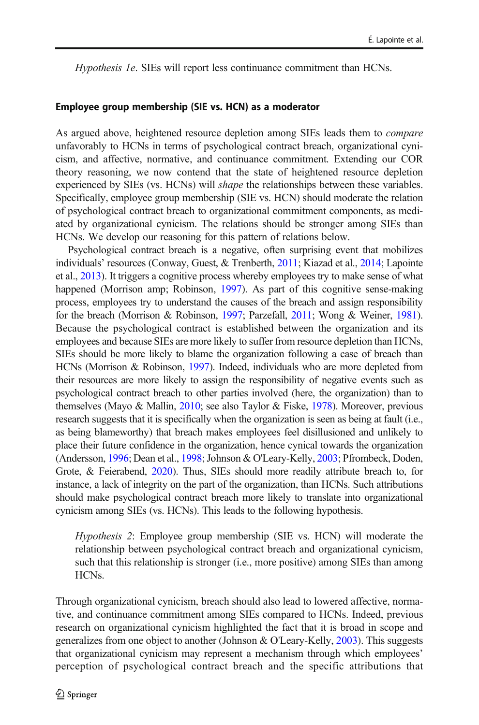Hypothesis 1e. SIEs will report less continuance commitment than HCNs.

#### Employee group membership (SIE vs. HCN) as a moderator

As argued above, heightened resource depletion among SIEs leads them to compare unfavorably to HCNs in terms of psychological contract breach, organizational cynicism, and affective, normative, and continuance commitment. Extending our COR theory reasoning, we now contend that the state of heightened resource depletion experienced by SIEs (vs. HCNs) will shape the relationships between these variables. Specifically, employee group membership (SIE vs. HCN) should moderate the relation of psychological contract breach to organizational commitment components, as mediated by organizational cynicism. The relations should be stronger among SIEs than HCNs. We develop our reasoning for this pattern of relations below.

Psychological contract breach is a negative, often surprising event that mobilizes individuals' resources (Conway, Guest, & Trenberth, [2011;](#page-19-0) Kiazad et al., [2014;](#page-20-0) Lapointe et al., [2013\)](#page-20-0). It triggers a cognitive process whereby employees try to make sense of what happened (Morrison amp; Robinson, [1997\)](#page-21-0). As part of this cognitive sense-making process, employees try to understand the causes of the breach and assign responsibility for the breach (Morrison & Robinson, [1997;](#page-21-0) Parzefall, [2011](#page-21-0); Wong & Weiner, [1981\)](#page-23-0). Because the psychological contract is established between the organization and its employees and because SIEs are more likely to suffer from resource depletion than HCNs, SIEs should be more likely to blame the organization following a case of breach than HCNs (Morrison & Robinson, [1997](#page-21-0)). Indeed, individuals who are more depleted from their resources are more likely to assign the responsibility of negative events such as psychological contract breach to other parties involved (here, the organization) than to themselves (Mayo & Mallin, [2010;](#page-21-0) see also Taylor & Fiske, [1978\)](#page-22-0). Moreover, previous research suggests that it is specifically when the organization is seen as being at fault (i.e., as being blameworthy) that breach makes employees feel disillusioned and unlikely to place their future confidence in the organization, hence cynical towards the organization (Andersson, [1996](#page-19-0); Dean et al., [1998](#page-19-0); Johnson & O'Leary-Kelly, [2003](#page-20-0); Pfrombeck, Doden, Grote, & Feierabend, [2020](#page-21-0)). Thus, SIEs should more readily attribute breach to, for instance, a lack of integrity on the part of the organization, than HCNs. Such attributions should make psychological contract breach more likely to translate into organizational cynicism among SIEs (vs. HCNs). This leads to the following hypothesis.

Hypothesis 2: Employee group membership (SIE vs. HCN) will moderate the relationship between psychological contract breach and organizational cynicism, such that this relationship is stronger (i.e., more positive) among SIEs than among HCNs.

Through organizational cynicism, breach should also lead to lowered affective, normative, and continuance commitment among SIEs compared to HCNs. Indeed, previous research on organizational cynicism highlighted the fact that it is broad in scope and generalizes from one object to another (Johnson & O'Leary-Kelly, [2003](#page-20-0)). This suggests that organizational cynicism may represent a mechanism through which employees' perception of psychological contract breach and the specific attributions that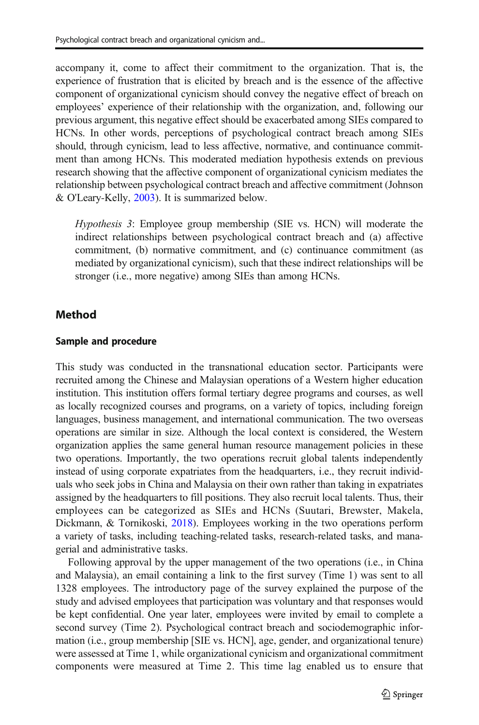accompany it, come to affect their commitment to the organization. That is, the experience of frustration that is elicited by breach and is the essence of the affective component of organizational cynicism should convey the negative effect of breach on employees' experience of their relationship with the organization, and, following our previous argument, this negative effect should be exacerbated among SIEs compared to HCNs. In other words, perceptions of psychological contract breach among SIEs should, through cynicism, lead to less affective, normative, and continuance commitment than among HCNs. This moderated mediation hypothesis extends on previous research showing that the affective component of organizational cynicism mediates the relationship between psychological contract breach and affective commitment (Johnson & O'Leary-Kelly, [2003](#page-20-0)). It is summarized below.

Hypothesis 3: Employee group membership (SIE vs. HCN) will moderate the indirect relationships between psychological contract breach and (a) affective commitment, (b) normative commitment, and (c) continuance commitment (as mediated by organizational cynicism), such that these indirect relationships will be stronger (i.e., more negative) among SIEs than among HCNs.

## Method

#### Sample and procedure

This study was conducted in the transnational education sector. Participants were recruited among the Chinese and Malaysian operations of a Western higher education institution. This institution offers formal tertiary degree programs and courses, as well as locally recognized courses and programs, on a variety of topics, including foreign languages, business management, and international communication. The two overseas operations are similar in size. Although the local context is considered, the Western organization applies the same general human resource management policies in these two operations. Importantly, the two operations recruit global talents independently instead of using corporate expatriates from the headquarters, i.e., they recruit individuals who seek jobs in China and Malaysia on their own rather than taking in expatriates assigned by the headquarters to fill positions. They also recruit local talents. Thus, their employees can be categorized as SIEs and HCNs (Suutari, Brewster, Makela, Dickmann, & Tornikoski, [2018\)](#page-22-0). Employees working in the two operations perform a variety of tasks, including teaching-related tasks, research-related tasks, and managerial and administrative tasks.

Following approval by the upper management of the two operations (i.e., in China and Malaysia), an email containing a link to the first survey (Time 1) was sent to all 1328 employees. The introductory page of the survey explained the purpose of the study and advised employees that participation was voluntary and that responses would be kept confidential. One year later, employees were invited by email to complete a second survey (Time 2). Psychological contract breach and sociodemographic information (i.e., group membership [SIE vs. HCN], age, gender, and organizational tenure) were assessed at Time 1, while organizational cynicism and organizational commitment components were measured at Time 2. This time lag enabled us to ensure that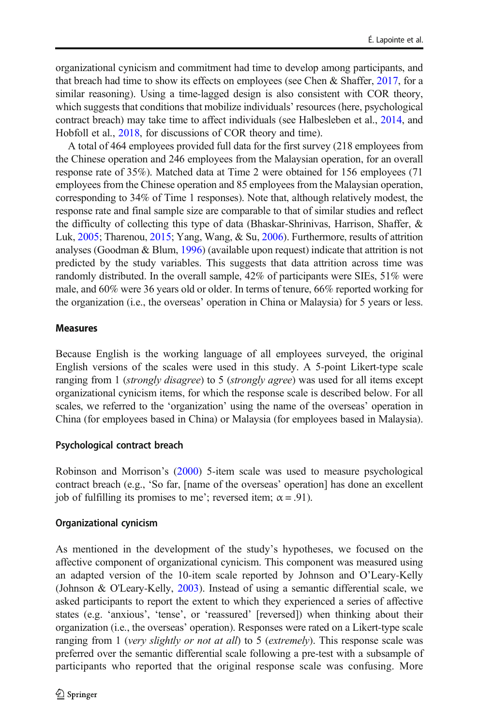organizational cynicism and commitment had time to develop among participants, and that breach had time to show its effects on employees (see Chen & Shaffer,  $2017$ , for a similar reasoning). Using a time-lagged design is also consistent with COR theory, which suggests that conditions that mobilize individuals' resources (here, psychological contract breach) may take time to affect individuals (see Halbesleben et al., [2014,](#page-20-0) and Hobfoll et al., [2018](#page-20-0), for discussions of COR theory and time).

A total of 464 employees provided full data for the first survey (218 employees from the Chinese operation and 246 employees from the Malaysian operation, for an overall response rate of 35%). Matched data at Time 2 were obtained for 156 employees (71 employees from the Chinese operation and 85 employees from the Malaysian operation, corresponding to 34% of Time 1 responses). Note that, although relatively modest, the response rate and final sample size are comparable to that of similar studies and reflect the difficulty of collecting this type of data (Bhaskar-Shrinivas, Harrison, Shaffer, & Luk, [2005;](#page-19-0) Tharenou, [2015](#page-22-0); Yang, Wang, & Su, [2006\)](#page-23-0). Furthermore, results of attrition analyses (Goodman & Blum, [1996](#page-19-0)) (available upon request) indicate that attrition is not predicted by the study variables. This suggests that data attrition across time was randomly distributed. In the overall sample, 42% of participants were SIEs, 51% were male, and 60% were 36 years old or older. In terms of tenure, 66% reported working for the organization (i.e., the overseas' operation in China or Malaysia) for 5 years or less.

#### Measures

Because English is the working language of all employees surveyed, the original English versions of the scales were used in this study. A 5-point Likert-type scale ranging from 1 (strongly disagree) to 5 (strongly agree) was used for all items except organizational cynicism items, for which the response scale is described below. For all scales, we referred to the 'organization' using the name of the overseas' operation in China (for employees based in China) or Malaysia (for employees based in Malaysia).

## Psychological contract breach

Robinson and Morrison's [\(2000](#page-22-0)) 5-item scale was used to measure psychological contract breach (e.g., 'So far, [name of the overseas' operation] has done an excellent job of fulfilling its promises to me'; reversed item;  $\alpha = .91$ ).

## Organizational cynicism

As mentioned in the development of the study's hypotheses, we focused on the affective component of organizational cynicism. This component was measured using an adapted version of the 10-item scale reported by Johnson and O'Leary-Kelly (Johnson & O'Leary-Kelly, [2003\)](#page-20-0). Instead of using a semantic differential scale, we asked participants to report the extent to which they experienced a series of affective states (e.g. 'anxious', 'tense', or 'reassured' [reversed]) when thinking about their organization (i.e., the overseas' operation). Responses were rated on a Likert-type scale ranging from 1 (very slightly or not at all) to 5 (extremely). This response scale was preferred over the semantic differential scale following a pre-test with a subsample of participants who reported that the original response scale was confusing. More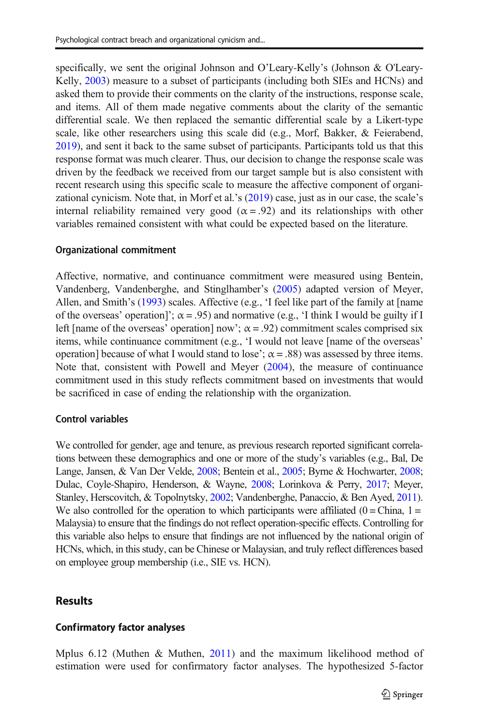specifically, we sent the original Johnson and O'Leary-Kelly's (Johnson & O'Leary-Kelly, [2003](#page-20-0)) measure to a subset of participants (including both SIEs and HCNs) and asked them to provide their comments on the clarity of the instructions, response scale, and items. All of them made negative comments about the clarity of the semantic differential scale. We then replaced the semantic differential scale by a Likert-type scale, like other researchers using this scale did (e.g., Morf, Bakker, & Feierabend, [2019\)](#page-21-0), and sent it back to the same subset of participants. Participants told us that this response format was much clearer. Thus, our decision to change the response scale was driven by the feedback we received from our target sample but is also consistent with recent research using this specific scale to measure the affective component of organizational cynicism. Note that, in Morf et al.'s ([2019](#page-21-0)) case, just as in our case, the scale's internal reliability remained very good ( $\alpha = .92$ ) and its relationships with other variables remained consistent with what could be expected based on the literature.

#### Organizational commitment

Affective, normative, and continuance commitment were measured using Bentein, Vandenberg, Vandenberghe, and Stinglhamber's ([2005](#page-19-0)) adapted version of Meyer, Allen, and Smith's [\(1993\)](#page-21-0) scales. Affective (e.g., 'I feel like part of the family at [name of the overseas' operation]';  $\alpha$  = .95) and normative (e.g., 'I think I would be guilty if I left [name of the overseas' operation] now';  $\alpha$  = .92) commitment scales comprised six items, while continuance commitment (e.g., 'I would not leave [name of the overseas' operation] because of what I would stand to lose';  $\alpha = .88$ ) was assessed by three items. Note that, consistent with Powell and Meyer [\(2004\)](#page-21-0), the measure of continuance commitment used in this study reflects commitment based on investments that would be sacrificed in case of ending the relationship with the organization.

#### Control variables

We controlled for gender, age and tenure, as previous research reported significant correlations between these demographics and one or more of the study's variables (e.g., Bal, De Lange, Jansen, & Van Der Velde, [2008;](#page-19-0) Bentein et al., [2005;](#page-19-0) Byrne & Hochwarter, [2008;](#page-19-0) Dulac, Coyle-Shapiro, Henderson, & Wayne, [2008](#page-19-0); Lorinkova & Perry, [2017](#page-21-0); Meyer, Stanley, Herscovitch, & Topolnytsky, [2002;](#page-21-0) Vandenberghe, Panaccio, & Ben Ayed, [2011\)](#page-22-0). We also controlled for the operation to which participants were affiliated  $(0 = China, 1 =$ Malaysia) to ensure that the findings do not reflect operation-specific effects. Controlling for this variable also helps to ensure that findings are not influenced by the national origin of HCNs, which, in this study, can be Chinese or Malaysian, and truly reflect differences based on employee group membership (i.e., SIE vs. HCN).

### **Results**

## Confirmatory factor analyses

Mplus 6.12 (Muthen & Muthen,  $2011$ ) and the maximum likelihood method of estimation were used for confirmatory factor analyses. The hypothesized 5-factor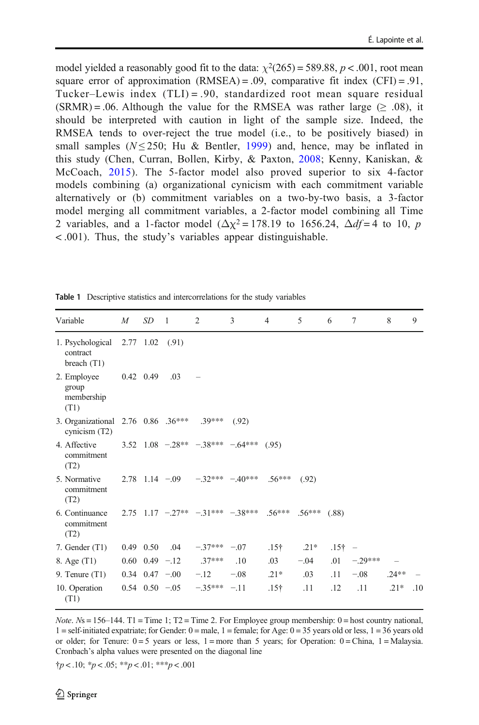<span id="page-11-0"></span>model yielded a reasonably good fit to the data:  $\chi^2(265) = 589.88$ ,  $p < .001$ , root mean square error of approximation  $(RMSEA) = .09$ , comparative fit index  $(CFI) = .91$ , Tucker–Lewis index  $(TLI) = .90$ , standardized root mean square residual  $(SRMR) = .06$ . Although the value for the RMSEA was rather large ( $\geq .08$ ), it should be interpreted with caution in light of the sample size. Indeed, the RMSEA tends to over-reject the true model (i.e., to be positively biased) in small samples ( $N \le 250$ ; Hu & Bentler, [1999\)](#page-20-0) and, hence, may be inflated in this study (Chen, Curran, Bollen, Kirby, & Paxton, [2008;](#page-19-0) Kenny, Kaniskan, & McCoach, [2015\)](#page-20-0). The 5-factor model also proved superior to six 4-factor models combining (a) organizational cynicism with each commitment variable alternatively or (b) commitment variables on a two-by-two basis, a 3-factor model merging all commitment variables, a 2-factor model combining all Time 2 variables, and a 1-factor model ( $\Delta \chi^2 = 178.19$  to 1656.24,  $\Delta df = 4$  to 10, p < .001). Thus, the study's variables appear distinguishable.

| Variable                                                      | $M_{\odot}$ | $SD \quad 1$ |     | 2                                                                            | 3     | $\overline{4}$   | 5      | 6              | 7           | 8       | 9   |
|---------------------------------------------------------------|-------------|--------------|-----|------------------------------------------------------------------------------|-------|------------------|--------|----------------|-------------|---------|-----|
| 1. Psychological 2.77 1.02 (.91)<br>contract<br>breach $(T1)$ |             |              |     |                                                                              |       |                  |        |                |             |         |     |
| 2. Employee 0.42 0.49<br>group<br>membership<br>(T1)          |             |              | .03 |                                                                              |       |                  |        |                |             |         |     |
| 3. Organizational 2.76 0.86 .36*** .39***<br>cynicism (T2)    |             |              |     |                                                                              | (.92) |                  |        |                |             |         |     |
| 4. Affective<br>commitment<br>(T2)                            |             |              |     | 3.52 $1.08 - 28^{**} - 38^{***} - 64^{***}$ (.95)                            |       |                  |        |                |             |         |     |
| 5. Normative<br>commitment<br>(T2)                            |             |              |     | 2.78 1.14 - 09 - 32*** - 40*** .56***                                        |       |                  | (.92)  |                |             |         |     |
| 6. Continuance<br>commitment<br>(T2)                          |             |              |     | 2.75 1.17 $-27^{**}$ $-31^{***}$ $-38^{***}$ $.56^{***}$ $.56^{***}$ $(.88)$ |       |                  |        |                |             |         |     |
| 7. Gender $(T1)$                                              |             |              |     | $0.49 \quad 0.50 \quad 0.04 \quad -37*** \quad -0.07$                        |       | .15 <sup>†</sup> | $.21*$ | $.15\dagger -$ |             |         |     |
| 8. Age (T1)                                                   |             |              |     | $0.60$ $0.49$ $-12$ $0.37***$ $0.10$                                         |       | .03              | $-.04$ | .01            | $-.29***$   |         |     |
| 9. Tenure $(T1)$                                              |             |              |     | $0.34$ $0.47$ $-0.0$ $-12$ $-0.08$                                           |       | $.21*$           | .03    |                | $.11 - .08$ | $.24**$ |     |
| 10. Operation<br>(T1)                                         |             |              |     | $0.54$ $0.50$ $-0.5$ $-0.35***$ $-11$                                        |       | .15 <sup>†</sup> | .11    | $.12\,$        | .11         | $.21*$  | .10 |

Table 1 Descriptive statistics and intercorrelations for the study variables

Note.  $Ns = 156-144$ . T1 = Time 1; T2 = Time 2. For Employee group membership: 0 = host country national, 1 = self-initiated expatriate; for Gender:  $0 =$  male,  $1 =$  female; for Age:  $0 = 35$  years old or less,  $1 = 36$  years old or older; for Tenure:  $0 = 5$  years or less,  $1 =$ more than 5 years; for Operation:  $0 =$ China,  $1 =$ Malaysia. Cronbach's alpha values were presented on the diagonal line

 $\dagger p < .10; \dagger p < .05; \dagger \dagger p < .01; \dagger \dagger p < .001$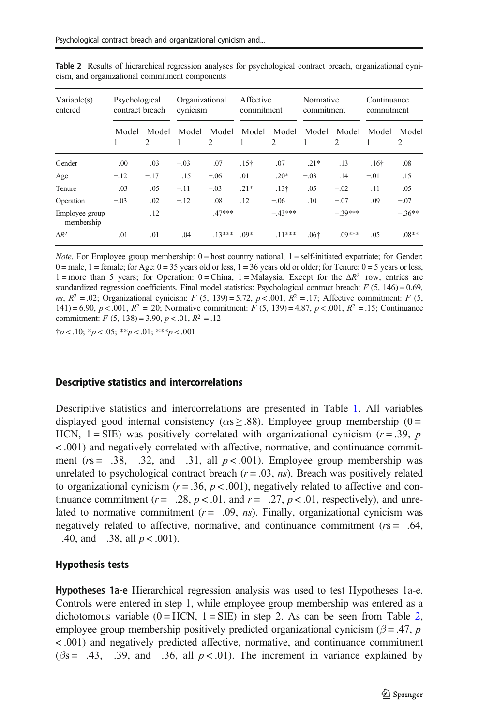| Variable(s)<br>entered       | Psychological<br>contract breach |            | Organizational<br>cynicism |                         | Affective<br>commitment |                  | Normative<br>commitment |                                      | Continuance<br>commitment |            |
|------------------------------|----------------------------------|------------|----------------------------|-------------------------|-------------------------|------------------|-------------------------|--------------------------------------|---------------------------|------------|
|                              | Model<br>1                       | Model<br>2 | Model                      | Model<br>$\overline{2}$ | Model                   | Model<br>2       | Model                   | Model<br>$\mathcal{D}_{\mathcal{A}}$ | Model                     | Model<br>2 |
| Gender                       | .00                              | .03        | $-.03$                     | .07                     | .15 <sup>†</sup>        | .07              | $.21*$                  | .13                                  | .16 <sup>†</sup>          | .08        |
| Age                          | $-.12$                           | $-.17$     | .15                        | $-.06$                  | .01                     | $.20*$           | $-.03$                  | .14                                  | $-.01$                    | .15        |
| Tenure                       | .03                              | .05        | $-.11$                     | $-.03$                  | $.21*$                  | .13 <sup>†</sup> | .05                     | $-.02$                               | .11                       | .05        |
| Operation                    | $-.03$                           | .02        | $-.12$                     | .08                     | .12                     | $-.06$           | .10                     | $-.07$                               | .09                       | $-.07$     |
| Employee group<br>membership |                                  | .12        |                            | .47***                  |                         | $-.43***$        |                         | $-39***$                             |                           | $-.36**$   |
| $\Delta R^2$                 | .01                              | .01        | .04                        | $.13***$                | $.09*$                  | $.11***$         | .06 <sup>†</sup>        | $.09***$                             | .05                       | $.08**$    |

Table 2 Results of hierarchical regression analyses for psychological contract breach, organizational cynicism, and organizational commitment components

*Note.* For Employee group membership:  $0 =$  host country national,  $1 =$  self-initiated expatriate; for Gender:  $0 =$  male,  $1 =$  female; for Age:  $0 = 35$  years old or less,  $1 = 36$  years old or older; for Tenure:  $0 = 5$  years or less, 1 = more than 5 years; for Operation: 0 = China, 1 = Malaysia. Except for the  $\Delta R^2$  row, entries are standardized regression coefficients. Final model statistics: Psychological contract breach:  $F(5, 146) = 0.69$ , ns,  $R^2 = 0.02$ ; Organizational cynicism: F (5, 139) = 5.72,  $p < 0.01$ ,  $R^2 = 0.17$ ; Affective commitment: F (5, 141) = 6.90,  $p < .001$ ,  $R^2 = .20$ ; Normative commitment:  $\overline{F}(5, 139) = 4.87$ ,  $p < .001$ ,  $R^2 = .15$ ; Continuance commitment:  $F(5, 138) = 3.90, p < .01, R^2 = .12$ 

 $\dagger p < .10$ ;  $\binom{*}{p} < .05$ ;  $\binom{*}{p} < .01$ ;  $\binom{*}{p} < .001$ 

#### Descriptive statistics and intercorrelations

Descriptive statistics and intercorrelations are presented in Table [1.](#page-11-0) All variables displayed good internal consistency ( $\alpha$ s  $\geq$  .88). Employee group membership (0 = HCN,  $1 =$  SIE) was positively correlated with organizational cynicism ( $r = .39$ , p < .001) and negatively correlated with affective, normative, and continuance commitment ( $rs = -0.38$ ,  $-0.32$ , and  $-0.31$ , all  $p < 0.001$ ). Employee group membership was unrelated to psychological contract breach  $(r = .03, ns)$ . Breach was positively related to organizational cynicism ( $r = .36$ ,  $p < .001$ ), negatively related to affective and continuance commitment  $(r = -.28, p < .01,$  and  $r = -.27, p < .01$ , respectively), and unrelated to normative commitment  $(r = -0.09, ns)$ . Finally, organizational cynicism was negatively related to affective, normative, and continuance commitment ( $rs = -0.64$ ,  $-0.40$ , and  $-0.38$ , all  $p < 0.001$ ).

#### Hypothesis tests

Hypotheses 1a-e Hierarchical regression analysis was used to test Hypotheses 1a-e. Controls were entered in step 1, while employee group membership was entered as a dichotomous variable  $(0 = HCN, 1 = SIE)$  in step 2. As can be seen from Table 2, employee group membership positively predicted organizational cynicism ( $\beta = .47$ , p < .001) and negatively predicted affective, normative, and continuance commitment  $(\beta s = -0.43, -0.39, \text{ and } -0.36, \text{ all } p < 0.01)$ . The increment in variance explained by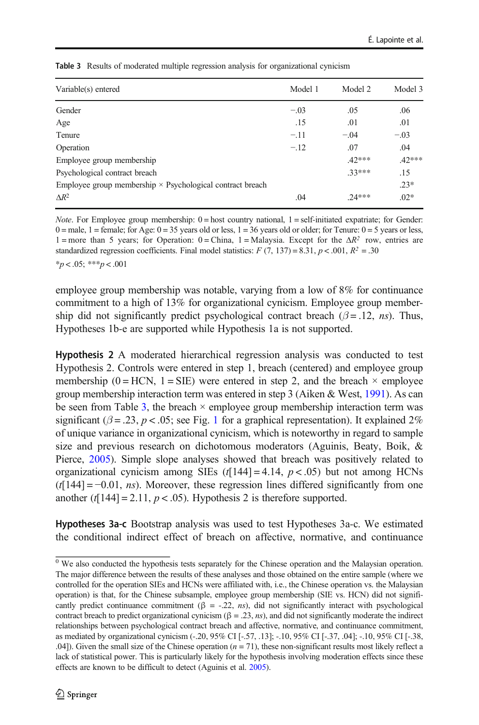| Variable(s) entered                                              | Model 1 | Model 2  | Model 3  |
|------------------------------------------------------------------|---------|----------|----------|
| Gender                                                           | $-.03$  | .05      | .06      |
| Age                                                              | .15     | .01      | .01      |
| Tenure                                                           | $-.11$  | $-.04$   | $-.03$   |
| Operation                                                        | $-.12$  | .07      | .04      |
| Employee group membership                                        |         | .42***   | $.42***$ |
| Psychological contract breach                                    |         | $.33***$ | .15      |
| Employee group membership $\times$ Psychological contract breach |         |          | $.23*$   |
| $\Lambda R^2$                                                    | .04     | $74***$  | $.02*$   |

Table 3 Results of moderated multiple regression analysis for organizational cynicism

*Note.* For Employee group membership:  $0 =$  host country national,  $1 =$  self-initiated expatriate; for Gender:  $0 =$  male,  $1 =$  female; for Age:  $0 = 35$  years old or less,  $1 = 36$  years old or older; for Tenure:  $0 = 5$  years or less, 1 = more than 5 years; for Operation: 0 = China, 1 = Malaysia. Except for the  $\Delta R^2$  row, entries are standardized regression coefficients. Final model statistics: F (7, 137) = 8.31, p < .001,  $R^2$  = .30  $*_{p < .05}$ ; \*\*\* $_{p < .001}$ 

employee group membership was notable, varying from a low of 8% for continuance commitment to a high of 13% for organizational cynicism. Employee group membership did not significantly predict psychological contract breach ( $\beta$  = .12, *ns*). Thus, Hypotheses 1b-e are supported while Hypothesis 1a is not supported.

Hypothesis 2 A moderated hierarchical regression analysis was conducted to test Hypothesis 2. Controls were entered in step 1, breach (centered) and employee group membership (0 = HCN, 1 = SIE) were entered in step 2, and the breach  $\times$  employee group membership interaction term was entered in step 3 (Aiken  $&$  West, [1991](#page-18-0)). As can be seen from Table 3, the breach  $\times$  employee group membership interaction term was significant ( $\beta = 0.23$ ,  $p < 0.05$ ; see Fig. [1](#page-14-0) for a graphical representation). It explained 2% of unique variance in organizational cynicism, which is noteworthy in regard to sample size and previous research on dichotomous moderators (Aguinis, Beaty, Boik, & Pierce, [2005](#page-18-0)). Simple slope analyses showed that breach was positively related to organizational cynicism among SIEs  $(t[144] = 4.14, p < .05)$  but not among HCNs  $(t[144] = -0.01$ , ns). Moreover, these regression lines differed significantly from one another (t[144] = 2.11,  $p < .05$ ). Hypothesis 2 is therefore supported.

Hypotheses 3a-c Bootstrap analysis was used to test Hypotheses 3a-c. We estimated the conditional indirect effect of breach on affective, normative, and continuance

 $<sup>0</sup>$  We also conducted the hypothesis tests separately for the Chinese operation and the Malaysian operation.</sup> The major difference between the results of these analyses and those obtained on the entire sample (where we controlled for the operation SIEs and HCNs were affiliated with, i.e., the Chinese operation vs. the Malaysian operation) is that, for the Chinese subsample, employee group membership (SIE vs. HCN) did not significantly predict continuance commitment ( $\beta$  = -.22, ns), did not significantly interact with psychological contract breach to predict organizational cynicism ( $\beta = 0.23$ , *ns*), and did not significantly moderate the indirect relationships between psychological contract breach and affective, normative, and continuance commitment, as mediated by organizational cynicism (-.20, 95% CI [-.57, .13]; -.10, 95% CI [-.37, .04]; -.10, 95% CI [-.38, .04]). Given the small size of the Chinese operation ( $n = 71$ ), these non-significant results most likely reflect a lack of statistical power. This is particularly likely for the hypothesis involving moderation effects since these effects are known to be difficult to detect (Aguinis et al. [2005](#page-18-0)).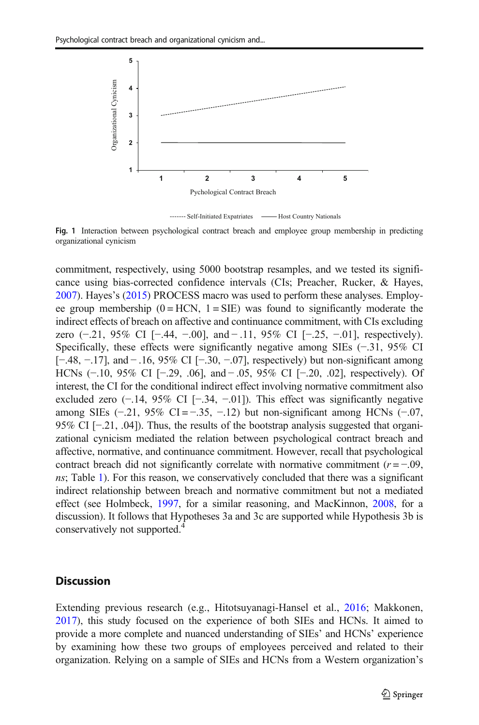<span id="page-14-0"></span>

Self-Initiated Expatriates Host Country Nationals



commitment, respectively, using 5000 bootstrap resamples, and we tested its significance using bias-corrected confidence intervals (CIs; Preacher, Rucker, & Hayes, [2007\)](#page-21-0). Hayes's ([2015](#page-20-0)) PROCESS macro was used to perform these analyses. Employee group membership  $(0 = HCN, 1 = SIE)$  was found to significantly moderate the indirect effects of breach on affective and continuance commitment, with CIs excluding zero (−.21, 95% CI [−.44, −.00], and − .11, 95% CI [−.25, −.01], respectively). Specifically, these effects were significantly negative among SIEs (−.31, 95% CI [−.48, −.17], and − .16, 95% CI [−.30, −.07], respectively) but non-significant among HCNs (−.10, 95% CI [−.29, .06], and − .05, 95% CI [−.20, .02], respectively). Of interest, the CI for the conditional indirect effect involving normative commitment also excluded zero (−.14, 95% CI [−.34, −.01]). This effect was significantly negative among SIEs  $(-.21, 95\% \text{ CI} = -.35, -.12)$  but non-significant among HCNs  $(-.07, )$ 95% CI [−.21, .04]). Thus, the results of the bootstrap analysis suggested that organizational cynicism mediated the relation between psychological contract breach and affective, normative, and continuance commitment. However, recall that psychological contract breach did not significantly correlate with normative commitment  $(r = -0.09)$ , ns; Table [1\)](#page-11-0). For this reason, we conservatively concluded that there was a significant indirect relationship between breach and normative commitment but not a mediated effect (see Holmbeck, [1997,](#page-20-0) for a similar reasoning, and MacKinnon, [2008,](#page-21-0) for a discussion). It follows that Hypotheses 3a and 3c are supported while Hypothesis 3b is conservatively not supported.4

## **Discussion**

Extending previous research (e.g., Hitotsuyanagi-Hansel et al., [2016](#page-20-0); Makkonen, [2017\)](#page-21-0), this study focused on the experience of both SIEs and HCNs. It aimed to provide a more complete and nuanced understanding of SIEs' and HCNs' experience by examining how these two groups of employees perceived and related to their organization. Relying on a sample of SIEs and HCNs from a Western organization's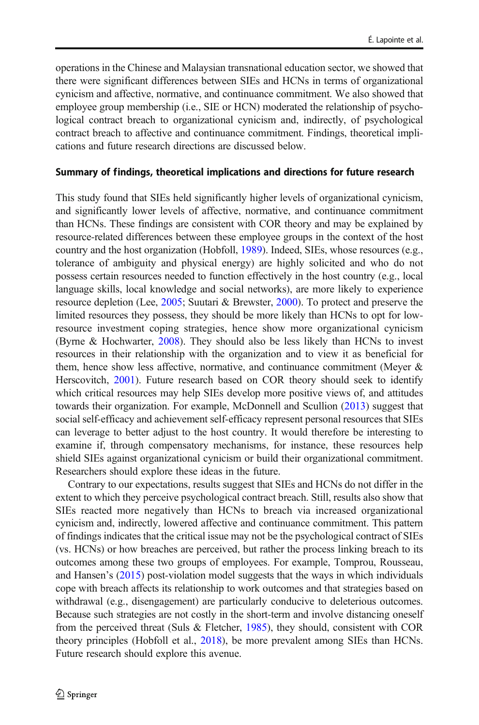operations in the Chinese and Malaysian transnational education sector, we showed that there were significant differences between SIEs and HCNs in terms of organizational cynicism and affective, normative, and continuance commitment. We also showed that employee group membership (i.e., SIE or HCN) moderated the relationship of psychological contract breach to organizational cynicism and, indirectly, of psychological contract breach to affective and continuance commitment. Findings, theoretical implications and future research directions are discussed below.

#### Summary of findings, theoretical implications and directions for future research

This study found that SIEs held significantly higher levels of organizational cynicism, and significantly lower levels of affective, normative, and continuance commitment than HCNs. These findings are consistent with COR theory and may be explained by resource-related differences between these employee groups in the context of the host country and the host organization (Hobfoll, [1989\)](#page-20-0). Indeed, SIEs, whose resources (e.g., tolerance of ambiguity and physical energy) are highly solicited and who do not possess certain resources needed to function effectively in the host country (e.g., local language skills, local knowledge and social networks), are more likely to experience resource depletion (Lee, [2005](#page-21-0); Suutari & Brewster, [2000](#page-22-0)). To protect and preserve the limited resources they possess, they should be more likely than HCNs to opt for lowresource investment coping strategies, hence show more organizational cynicism (Byrne & Hochwarter, [2008\)](#page-19-0). They should also be less likely than HCNs to invest resources in their relationship with the organization and to view it as beneficial for them, hence show less affective, normative, and continuance commitment (Meyer & Herscovitch, [2001](#page-21-0)). Future research based on COR theory should seek to identify which critical resources may help SIEs develop more positive views of, and attitudes towards their organization. For example, McDonnell and Scullion [\(2013\)](#page-21-0) suggest that social self-efficacy and achievement self-efficacy represent personal resources that SIEs can leverage to better adjust to the host country. It would therefore be interesting to examine if, through compensatory mechanisms, for instance, these resources help shield SIEs against organizational cynicism or build their organizational commitment. Researchers should explore these ideas in the future.

Contrary to our expectations, results suggest that SIEs and HCNs do not differ in the extent to which they perceive psychological contract breach. Still, results also show that SIEs reacted more negatively than HCNs to breach via increased organizational cynicism and, indirectly, lowered affective and continuance commitment. This pattern of findings indicates that the critical issue may not be the psychological contract of SIEs (vs. HCNs) or how breaches are perceived, but rather the process linking breach to its outcomes among these two groups of employees. For example, Tomprou, Rousseau, and Hansen's ([2015](#page-22-0)) post-violation model suggests that the ways in which individuals cope with breach affects its relationship to work outcomes and that strategies based on withdrawal (e.g., disengagement) are particularly conducive to deleterious outcomes. Because such strategies are not costly in the short-term and involve distancing oneself from the perceived threat (Suls & Fletcher, [1985](#page-22-0)), they should, consistent with COR theory principles (Hobfoll et al., [2018\)](#page-20-0), be more prevalent among SIEs than HCNs. Future research should explore this avenue.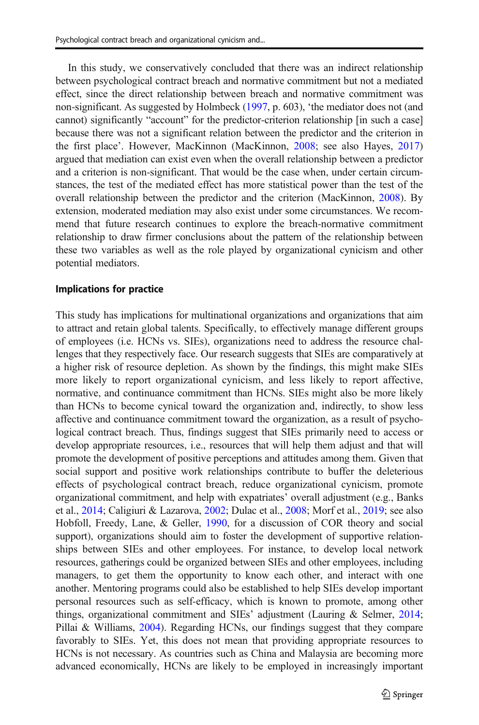In this study, we conservatively concluded that there was an indirect relationship between psychological contract breach and normative commitment but not a mediated effect, since the direct relationship between breach and normative commitment was non-significant. As suggested by Holmbeck ([1997](#page-20-0), p. 603), 'the mediator does not (and cannot) significantly "account" for the predictor-criterion relationship [in such a case] because there was not a significant relation between the predictor and the criterion in the first place'. However, MacKinnon (MacKinnon, [2008](#page-21-0); see also Hayes, [2017](#page-20-0)) argued that mediation can exist even when the overall relationship between a predictor and a criterion is non-significant. That would be the case when, under certain circumstances, the test of the mediated effect has more statistical power than the test of the overall relationship between the predictor and the criterion (MacKinnon, [2008](#page-21-0)). By extension, moderated mediation may also exist under some circumstances. We recommend that future research continues to explore the breach-normative commitment relationship to draw firmer conclusions about the pattern of the relationship between these two variables as well as the role played by organizational cynicism and other potential mediators.

#### Implications for practice

This study has implications for multinational organizations and organizations that aim to attract and retain global talents. Specifically, to effectively manage different groups of employees (i.e. HCNs vs. SIEs), organizations need to address the resource challenges that they respectively face. Our research suggests that SIEs are comparatively at a higher risk of resource depletion. As shown by the findings, this might make SIEs more likely to report organizational cynicism, and less likely to report affective, normative, and continuance commitment than HCNs. SIEs might also be more likely than HCNs to become cynical toward the organization and, indirectly, to show less affective and continuance commitment toward the organization, as a result of psychological contract breach. Thus, findings suggest that SIEs primarily need to access or develop appropriate resources, i.e., resources that will help them adjust and that will promote the development of positive perceptions and attitudes among them. Given that social support and positive work relationships contribute to buffer the deleterious effects of psychological contract breach, reduce organizational cynicism, promote organizational commitment, and help with expatriates' overall adjustment (e.g., Banks et al., [2014](#page-19-0); Caligiuri & Lazarova, [2002](#page-19-0); Dulac et al., [2008](#page-19-0); Morf et al., [2019;](#page-21-0) see also Hobfoll, Freedy, Lane, & Geller, [1990](#page-20-0), for a discussion of COR theory and social support), organizations should aim to foster the development of supportive relationships between SIEs and other employees. For instance, to develop local network resources, gatherings could be organized between SIEs and other employees, including managers, to get them the opportunity to know each other, and interact with one another. Mentoring programs could also be established to help SIEs develop important personal resources such as self-efficacy, which is known to promote, among other things, organizational commitment and SIEs' adjustment (Lauring & Selmer, [2014;](#page-21-0) Pillai & Williams, [2004](#page-21-0)). Regarding HCNs, our findings suggest that they compare favorably to SIEs. Yet, this does not mean that providing appropriate resources to HCNs is not necessary. As countries such as China and Malaysia are becoming more advanced economically, HCNs are likely to be employed in increasingly important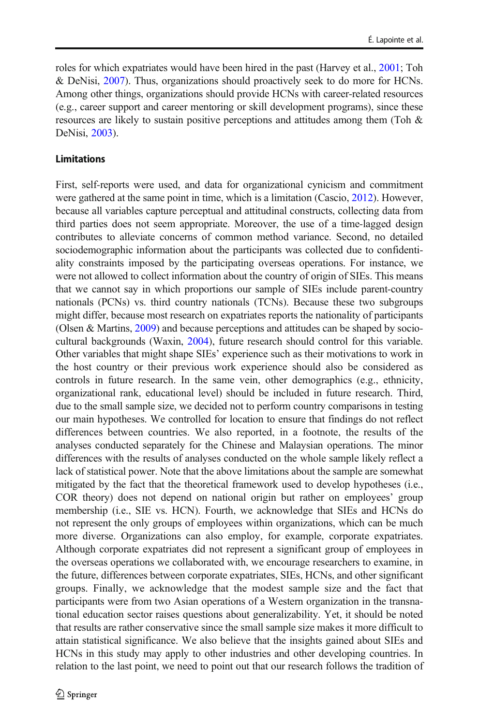roles for which expatriates would have been hired in the past (Harvey et al., [2001](#page-20-0); Toh & DeNisi, [2007\)](#page-22-0). Thus, organizations should proactively seek to do more for HCNs. Among other things, organizations should provide HCNs with career-related resources (e.g., career support and career mentoring or skill development programs), since these resources are likely to sustain positive perceptions and attitudes among them (Toh & DeNisi, [2003](#page-22-0)).

#### Limitations

First, self-reports were used, and data for organizational cynicism and commitment were gathered at the same point in time, which is a limitation (Cascio, [2012](#page-19-0)). However, because all variables capture perceptual and attitudinal constructs, collecting data from third parties does not seem appropriate. Moreover, the use of a time-lagged design contributes to alleviate concerns of common method variance. Second, no detailed sociodemographic information about the participants was collected due to confidentiality constraints imposed by the participating overseas operations. For instance, we were not allowed to collect information about the country of origin of SIEs. This means that we cannot say in which proportions our sample of SIEs include parent-country nationals (PCNs) vs. third country nationals (TCNs). Because these two subgroups might differ, because most research on expatriates reports the nationality of participants (Olsen & Martins, [2009](#page-21-0)) and because perceptions and attitudes can be shaped by sociocultural backgrounds (Waxin, [2004\)](#page-23-0), future research should control for this variable. Other variables that might shape SIEs' experience such as their motivations to work in the host country or their previous work experience should also be considered as controls in future research. In the same vein, other demographics (e.g., ethnicity, organizational rank, educational level) should be included in future research. Third, due to the small sample size, we decided not to perform country comparisons in testing our main hypotheses. We controlled for location to ensure that findings do not reflect differences between countries. We also reported, in a footnote, the results of the analyses conducted separately for the Chinese and Malaysian operations. The minor differences with the results of analyses conducted on the whole sample likely reflect a lack of statistical power. Note that the above limitations about the sample are somewhat mitigated by the fact that the theoretical framework used to develop hypotheses (i.e., COR theory) does not depend on national origin but rather on employees' group membership (i.e., SIE vs. HCN). Fourth, we acknowledge that SIEs and HCNs do not represent the only groups of employees within organizations, which can be much more diverse. Organizations can also employ, for example, corporate expatriates. Although corporate expatriates did not represent a significant group of employees in the overseas operations we collaborated with, we encourage researchers to examine, in the future, differences between corporate expatriates, SIEs, HCNs, and other significant groups. Finally, we acknowledge that the modest sample size and the fact that participants were from two Asian operations of a Western organization in the transnational education sector raises questions about generalizability. Yet, it should be noted that results are rather conservative since the small sample size makes it more difficult to attain statistical significance. We also believe that the insights gained about SIEs and HCNs in this study may apply to other industries and other developing countries. In relation to the last point, we need to point out that our research follows the tradition of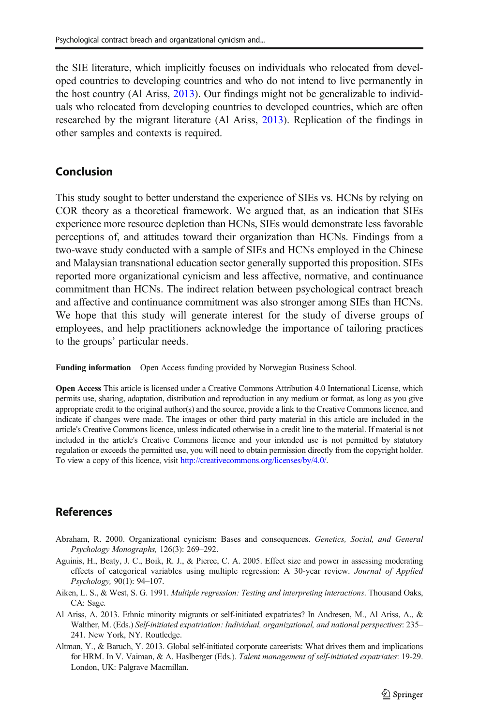<span id="page-18-0"></span>the SIE literature, which implicitly focuses on individuals who relocated from developed countries to developing countries and who do not intend to live permanently in the host country (Al Ariss, 2013). Our findings might not be generalizable to individuals who relocated from developing countries to developed countries, which are often researched by the migrant literature (Al Ariss, 2013). Replication of the findings in other samples and contexts is required.

## Conclusion

This study sought to better understand the experience of SIEs vs. HCNs by relying on COR theory as a theoretical framework. We argued that, as an indication that SIEs experience more resource depletion than HCNs, SIEs would demonstrate less favorable perceptions of, and attitudes toward their organization than HCNs. Findings from a two-wave study conducted with a sample of SIEs and HCNs employed in the Chinese and Malaysian transnational education sector generally supported this proposition. SIEs reported more organizational cynicism and less affective, normative, and continuance commitment than HCNs. The indirect relation between psychological contract breach and affective and continuance commitment was also stronger among SIEs than HCNs. We hope that this study will generate interest for the study of diverse groups of employees, and help practitioners acknowledge the importance of tailoring practices to the groups' particular needs.

Funding information Open Access funding provided by Norwegian Business School.

Open Access This article is licensed under a Creative Commons Attribution 4.0 International License, which permits use, sharing, adaptation, distribution and reproduction in any medium or format, as long as you give appropriate credit to the original author(s) and the source, provide a link to the Creative Commons licence, and indicate if changes were made. The images or other third party material in this article are included in the article's Creative Commons licence, unless indicated otherwise in a credit line to the material. If material is not included in the article's Creative Commons licence and your intended use is not permitted by statutory regulation or exceeds the permitted use, you will need to obtain permission directly from the copyright holder. To view a copy of this licence, visit [http://creativecommons.org/licenses/by/4.0/](https://doi.org/).

## References

- Abraham, R. 2000. Organizational cynicism: Bases and consequences. Genetics, Social, and General Psychology Monographs, 126(3): 269–292.
- Aguinis, H., Beaty, J. C., Boik, R. J., & Pierce, C. A. 2005. Effect size and power in assessing moderating effects of categorical variables using multiple regression: A 30-year review. Journal of Applied Psychology, 90(1): 94–107.
- Aiken, L. S., & West, S. G. 1991. Multiple regression: Testing and interpreting interactions. Thousand Oaks, CA: Sage.
- Al Ariss, A. 2013. Ethnic minority migrants or self-initiated expatriates? In Andresen, M., Al Ariss, A., & Walther, M. (Eds.) Self-initiated expatriation: Individual, organizational, and national perspectives: 235– 241. New York, NY. Routledge.
- Altman, Y., & Baruch, Y. 2013. Global self-initiated corporate careerists: What drives them and implications for HRM. In V. Vaiman, & A. Haslberger (Eds.). Talent management of self-initiated expatriates: 19-29. London, UK: Palgrave Macmillan.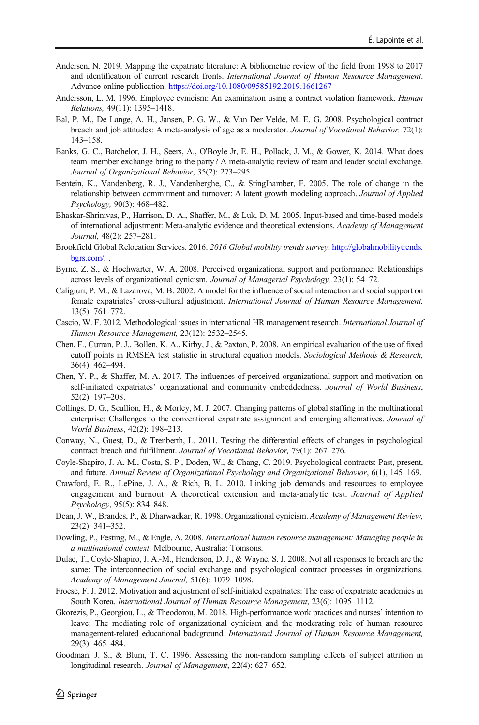- <span id="page-19-0"></span>Andersen, N. 2019. Mapping the expatriate literature: A bibliometric review of the field from 1998 to 2017 and identification of current research fronts. International Journal of Human Resource Management. Advance online publication. https://doi.org/10.1080/09585192.2019.1661267
- Andersson, L. M. 1996. Employee cynicism: An examination using a contract violation framework. Human Relations, 49(11): 1395–1418.
- Bal, P. M., De Lange, A. H., Jansen, P. G. W., & Van Der Velde, M. E. G. 2008. Psychological contract breach and job attitudes: A meta-analysis of age as a moderator. Journal of Vocational Behavior, 72(1): 143–158.
- Banks, G. C., Batchelor, J. H., Seers, A., O'Boyle Jr, E. H., Pollack, J. M., & Gower, K. 2014. What does team–member exchange bring to the party? A meta-analytic review of team and leader social exchange. Journal of Organizational Behavior, 35(2): 273–295.
- Bentein, K., Vandenberg, R. J., Vandenberghe, C., & Stinglhamber, F. 2005. The role of change in the relationship between commitment and turnover: A latent growth modeling approach. Journal of Applied Psychology, 90(3): 468–482.
- Bhaskar-Shrinivas, P., Harrison, D. A., Shaffer, M., & Luk, D. M. 2005. Input-based and time-based models of international adjustment: Meta-analytic evidence and theoretical extensions. Academy of Management Journal, 48(2): 257–281.
- Brookfield Global Relocation Services. 2016. 2016 Global mobility trends survey. http://globalmobilitytrends. bgrs.com/, .
- Byrne, Z. S., & Hochwarter, W. A. 2008. Perceived organizational support and performance: Relationships across levels of organizational cynicism. Journal of Managerial Psychology, 23(1): 54–72.
- Caligiuri, P. M., & Lazarova, M. B. 2002. A model for the influence of social interaction and social support on female expatriates' cross-cultural adjustment. International Journal of Human Resource Management, 13(5): 761–772.
- Cascio, W. F. 2012. Methodological issues in international HR management research. International Journal of Human Resource Management, 23(12): 2532–2545.
- Chen, F., Curran, P. J., Bollen, K. A., Kirby, J., & Paxton, P. 2008. An empirical evaluation of the use of fixed cutoff points in RMSEA test statistic in structural equation models. Sociological Methods & Research, 36(4): 462–494.
- Chen, Y. P., & Shaffer, M. A. 2017. The influences of perceived organizational support and motivation on self-initiated expatriates' organizational and community embeddedness. Journal of World Business, 52(2): 197–208.
- Collings, D. G., Scullion, H., & Morley, M. J. 2007. Changing patterns of global staffing in the multinational enterprise: Challenges to the conventional expatriate assignment and emerging alternatives. Journal of World Business, 42(2): 198–213.
- Conway, N., Guest, D., & Trenberth, L. 2011. Testing the differential effects of changes in psychological contract breach and fulfillment. Journal of Vocational Behavior, 79(1): 267–276.
- Coyle-Shapiro, J. A. M., Costa, S. P., Doden, W., & Chang, C. 2019. Psychological contracts: Past, present, and future. Annual Review of Organizational Psychology and Organizational Behavior, 6(1), 145–169.
- Crawford, E. R., LePine, J. A., & Rich, B. L. 2010. Linking job demands and resources to employee engagement and burnout: A theoretical extension and meta-analytic test. Journal of Applied Psychology, 95(5): 834–848.
- Dean, J. W., Brandes, P., & Dharwadkar, R. 1998. Organizational cynicism. Academy of Management Review, 23(2): 341–352.
- Dowling, P., Festing, M., & Engle, A. 2008. International human resource management: Managing people in a multinational context. Melbourne, Australia: Tomsons.
- Dulac, T., Coyle-Shapiro, J. A.-M., Henderson, D. J., & Wayne, S. J. 2008. Not all responses to breach are the same: The interconnection of social exchange and psychological contract processes in organizations. Academy of Management Journal, 51(6): 1079–1098.
- Froese, F. J. 2012. Motivation and adjustment of self-initiated expatriates: The case of expatriate academics in South Korea. International Journal of Human Resource Management, 23(6): 1095–1112.
- Gkorezis, P., Georgiou, L., & Theodorou, M. 2018. High-performance work practices and nurses' intention to leave: The mediating role of organizational cynicism and the moderating role of human resource management-related educational background. International Journal of Human Resource Management, 29(3): 465–484.
- Goodman, J. S., & Blum, T. C. 1996. Assessing the non-random sampling effects of subject attrition in longitudinal research. Journal of Management, 22(4): 627–652.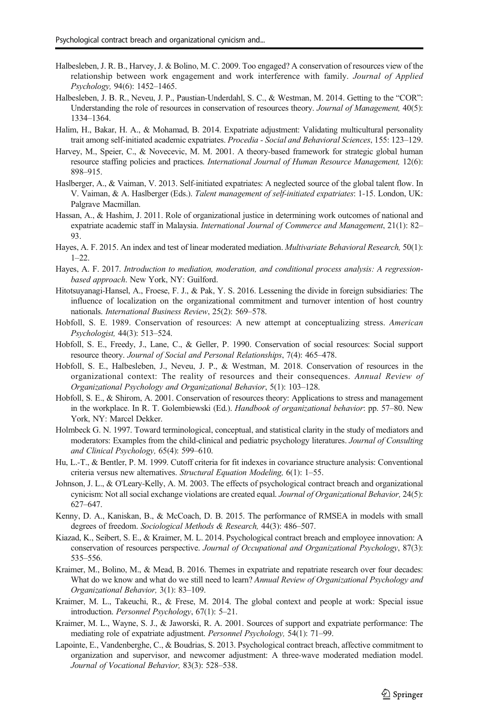- <span id="page-20-0"></span>Halbesleben, J. R. B., Harvey, J. & Bolino, M. C. 2009. Too engaged? A conservation of resources view of the relationship between work engagement and work interference with family. Journal of Applied Psychology, 94(6): 1452–1465.
- Halbesleben, J. B. R., Neveu, J. P., Paustian-Underdahl, S. C., & Westman, M. 2014. Getting to the "COR": Understanding the role of resources in conservation of resources theory. Journal of Management, 40(5): 1334–1364.
- Halim, H., Bakar, H. A., & Mohamad, B. 2014. Expatriate adjustment: Validating multicultural personality trait among self-initiated academic expatriates. Procedia - Social and Behavioral Sciences, 155: 123–129.
- Harvey, M., Speier, C., & Novecevic, M. M. 2001. A theory-based framework for strategic global human resource staffing policies and practices. International Journal of Human Resource Management, 12(6): 898–915.
- Haslberger, A., & Vaiman, V. 2013. Self-initiated expatriates: A neglected source of the global talent flow. In V. Vaiman, & A. Haslberger (Eds.). Talent management of self-initiated expatriates: 1-15. London, UK: Palgrave Macmillan.
- Hassan, A., & Hashim, J. 2011. Role of organizational justice in determining work outcomes of national and expatriate academic staff in Malaysia. International Journal of Commerce and Management, 21(1): 82-93.
- Hayes, A. F. 2015. An index and test of linear moderated mediation. Multivariate Behavioral Research, 50(1): 1–22.
- Hayes, A. F. 2017. Introduction to mediation, moderation, and conditional process analysis: A regressionbased approach. New York, NY: Guilford.
- Hitotsuyanagi-Hansel, A., Froese, F. J., & Pak, Y. S. 2016. Lessening the divide in foreign subsidiaries: The influence of localization on the organizational commitment and turnover intention of host country nationals. International Business Review, 25(2): 569–578.
- Hobfoll, S. E. 1989. Conservation of resources: A new attempt at conceptualizing stress. American Psychologist, 44(3): 513–524.
- Hobfoll, S. E., Freedy, J., Lane, C., & Geller, P. 1990. Conservation of social resources: Social support resource theory. Journal of Social and Personal Relationships, 7(4): 465–478.
- Hobfoll, S. E., Halbesleben, J., Neveu, J. P., & Westman, M. 2018. Conservation of resources in the organizational context: The reality of resources and their consequences. Annual Review of Organizational Psychology and Organizational Behavior, 5(1): 103–128.
- Hobfoll, S. E., & Shirom, A. 2001. Conservation of resources theory: Applications to stress and management in the workplace. In R. T. Golembiewski (Ed.). Handbook of organizational behavior: pp. 57–80. New York, NY: Marcel Dekker.
- Holmbeck G. N. 1997. Toward terminological, conceptual, and statistical clarity in the study of mediators and moderators: Examples from the child-clinical and pediatric psychology literatures. Journal of Consulting and Clinical Psychology, 65(4): 599–610.
- Hu, L.-T., & Bentler, P. M. 1999. Cutoff criteria for fit indexes in covariance structure analysis: Conventional criteria versus new alternatives. Structural Equation Modeling, 6(1): 1–55.
- Johnson, J. L., & O'Leary-Kelly, A. M. 2003. The effects of psychological contract breach and organizational cynicism: Not all social exchange violations are created equal. Journal of Organizational Behavior, 24(5): 627–647.
- Kenny, D. A., Kaniskan, B., & McCoach, D. B. 2015. The performance of RMSEA in models with small degrees of freedom. Sociological Methods & Research, 44(3): 486–507.
- Kiazad, K., Seibert, S. E., & Kraimer, M. L. 2014. Psychological contract breach and employee innovation: A conservation of resources perspective. Journal of Occupational and Organizational Psychology, 87(3): 535–556.
- Kraimer, M., Bolino, M., & Mead, B. 2016. Themes in expatriate and repatriate research over four decades: What do we know and what do we still need to learn? Annual Review of Organizational Psychology and Organizational Behavior, 3(1): 83–109.
- Kraimer, M. L., Takeuchi, R., & Frese, M. 2014. The global context and people at work: Special issue introduction. Personnel Psychology, 67(1): 5–21.
- Kraimer, M. L., Wayne, S. J., & Jaworski, R. A. 2001. Sources of support and expatriate performance: The mediating role of expatriate adjustment. Personnel Psychology, 54(1): 71–99.
- Lapointe, E., Vandenberghe, C., & Boudrias, S. 2013. Psychological contract breach, affective commitment to organization and supervisor, and newcomer adjustment: A three-wave moderated mediation model. Journal of Vocational Behavior, 83(3): 528–538.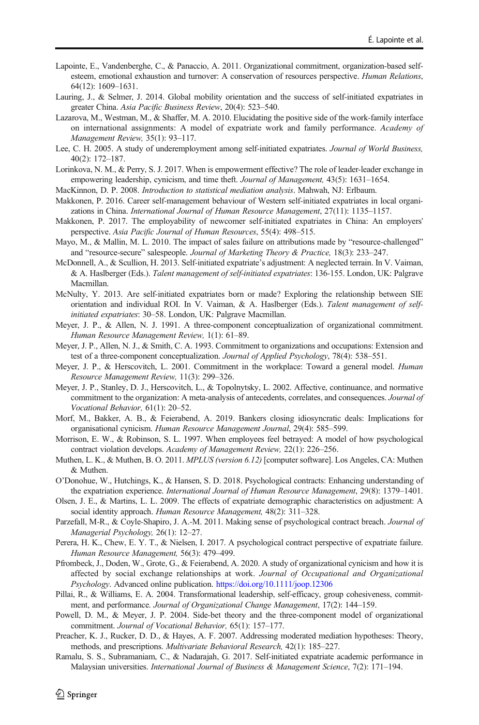- <span id="page-21-0"></span>Lapointe, E., Vandenberghe, C., & Panaccio, A. 2011. Organizational commitment, organization-based selfesteem, emotional exhaustion and turnover: A conservation of resources perspective. Human Relations, 64(12): 1609–1631.
- Lauring, J., & Selmer, J. 2014. Global mobility orientation and the success of self-initiated expatriates in greater China. Asia Pacific Business Review, 20(4): 523–540.
- Lazarova, M., Westman, M., & Shaffer, M. A. 2010. Elucidating the positive side of the work-family interface on international assignments: A model of expatriate work and family performance. Academy of Management Review, 35(1): 93–117.
- Lee, C. H. 2005. A study of underemployment among self-initiated expatriates. Journal of World Business, 40(2): 172–187.
- Lorinkova, N. M., & Perry, S. J. 2017. When is empowerment effective? The role of leader-leader exchange in empowering leadership, cynicism, and time theft. Journal of Management, 43(5): 1631–1654.
- MacKinnon, D. P. 2008. Introduction to statistical mediation analysis. Mahwah, NJ: Erlbaum.
- Makkonen, P. 2016. Career self-management behaviour of Western self-initiated expatriates in local organizations in China. International Journal of Human Resource Management, 27(11): 1135–1157.
- Makkonen, P. 2017. The employability of newcomer self-initiated expatriates in China: An employers' perspective. Asia Pacific Journal of Human Resources, 55(4): 498–515.
- Mayo, M., & Mallin, M. L. 2010. The impact of sales failure on attributions made by "resource-challenged" and "resource-secure" salespeople. Journal of Marketing Theory & Practice, 18(3): 233–247.
- McDonnell, A., & Scullion, H. 2013. Self-initiated expatriate's adjustment: A neglected terrain. In V. Vaiman, & A. Haslberger (Eds.). Talent management of self-initiated expatriates: 136-155. London, UK: Palgrave Macmillan.
- McNulty, Y. 2013. Are self-initiated expatriates born or made? Exploring the relationship between SIE orientation and individual ROI. In V. Vaiman, & A. Haslberger (Eds.). Talent management of selfinitiated expatriates: 30–58. London, UK: Palgrave Macmillan.
- Meyer, J. P., & Allen, N. J. 1991. A three-component conceptualization of organizational commitment. Human Resource Management Review, 1(1): 61–89.
- Meyer, J. P., Allen, N. J., & Smith, C. A. 1993. Commitment to organizations and occupations: Extension and test of a three-component conceptualization. Journal of Applied Psychology, 78(4): 538–551.
- Meyer, J. P., & Herscovitch, L. 2001. Commitment in the workplace: Toward a general model. *Human* Resource Management Review, 11(3): 299–326.
- Meyer, J. P., Stanley, D. J., Herscovitch, L., & Topolnytsky, L. 2002. Affective, continuance, and normative commitment to the organization: A meta-analysis of antecedents, correlates, and consequences. Journal of Vocational Behavior, 61(1): 20–52.
- Morf, M., Bakker, A. B., & Feierabend, A. 2019. Bankers closing idiosyncratic deals: Implications for organisational cynicism. Human Resource Management Journal, 29(4): 585–599.
- Morrison, E. W., & Robinson, S. L. 1997. When employees feel betrayed: A model of how psychological contract violation develops. Academy of Management Review, 22(1): 226–256.
- Muthen, L. K., & Muthen, B. O. 2011. MPLUS (version 6.12) [computer software]. Los Angeles, CA: Muthen & Muthen.
- O'Donohue, W., Hutchings, K., & Hansen, S. D. 2018. Psychological contracts: Enhancing understanding of the expatriation experience. International Journal of Human Resource Management, 29(8): 1379–1401.
- Olsen, J. E., & Martins, L. L. 2009. The effects of expatriate demographic characteristics on adjustment: A social identity approach. Human Resource Management, 48(2): 311–328.
- Parzefall, M-R., & Coyle-Shapiro, J. A.-M. 2011. Making sense of psychological contract breach. Journal of Managerial Psychology, 26(1): 12–27.
- Perera, H. K., Chew, E. Y. T., & Nielsen, I. 2017. A psychological contract perspective of expatriate failure. Human Resource Management, 56(3): 479–499.
- Pfrombeck, J., Doden, W., Grote, G., & Feierabend, A. 2020. A study of organizational cynicism and how it is affected by social exchange relationships at work. Journal of Occupational and Organizational Psychology. Advanced online publication. https://doi.org/10.1111/joop.12306
- Pillai, R., & Williams, E. A. 2004. Transformational leadership, self-efficacy, group cohesiveness, commitment, and performance. Journal of Organizational Change Management, 17(2): 144–159.
- Powell, D. M., & Meyer, J. P. 2004. Side-bet theory and the three-component model of organizational commitment. Journal of Vocational Behavior, 65(1): 157–177.
- Preacher, K. J., Rucker, D. D., & Hayes, A. F. 2007. Addressing moderated mediation hypotheses: Theory, methods, and prescriptions. Multivariate Behavioral Research, 42(1): 185–227.
- Ramalu, S. S., Subramaniam, C., & Nadarajah, G. 2017. Self-initiated expatriate academic performance in Malaysian universities. International Journal of Business & Management Science, 7(2): 171–194.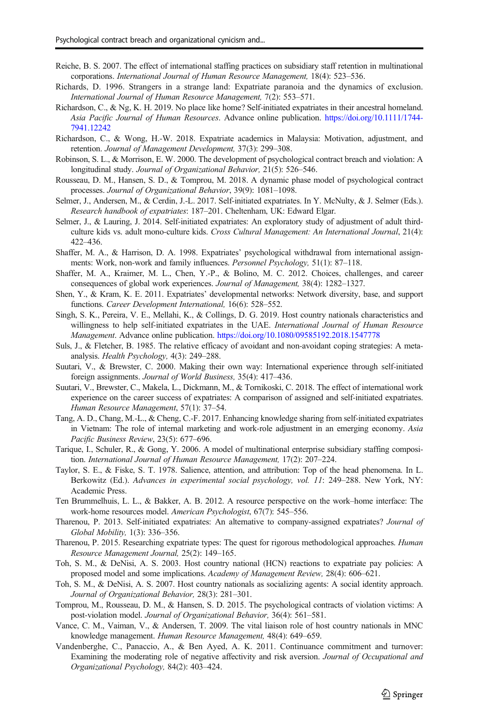- <span id="page-22-0"></span>Reiche, B. S. 2007. The effect of international staffing practices on subsidiary staff retention in multinational corporations. International Journal of Human Resource Management, 18(4): 523–536.
- Richards, D. 1996. Strangers in a strange land: Expatriate paranoia and the dynamics of exclusion. International Journal of Human Resource Management, 7(2): 553–571.
- Richardson, C., & Ng, K. H. 2019. No place like home? Self-initiated expatriates in their ancestral homeland. Asia Pacific Journal of Human Resources. Advance online publication. https://doi.org/10.1111/1744- 7941.12242
- Richardson, C., & Wong, H.-W. 2018. Expatriate academics in Malaysia: Motivation, adjustment, and retention. Journal of Management Development, 37(3): 299–308.
- Robinson, S. L., & Morrison, E. W. 2000. The development of psychological contract breach and violation: A longitudinal study. Journal of Organizational Behavior, 21(5): 526–546.
- Rousseau, D. M., Hansen, S. D., & Tomprou, M. 2018. A dynamic phase model of psychological contract processes. Journal of Organizational Behavior, 39(9): 1081–1098.
- Selmer, J., Andersen, M., & Cerdin, J.-L. 2017. Self-initiated expatriates. In Y. McNulty, & J. Selmer (Eds.). Research handbook of expatriates: 187–201. Cheltenham, UK: Edward Elgar.
- Selmer, J., & Lauring, J. 2014. Self-initiated expatriates: An exploratory study of adjustment of adult thirdculture kids vs. adult mono-culture kids. Cross Cultural Management: An International Journal, 21(4): 422–436.
- Shaffer, M. A., & Harrison, D. A. 1998. Expatriates' psychological withdrawal from international assignments: Work, non-work and family influences. Personnel Psychology, 51(1): 87–118.
- Shaffer, M. A., Kraimer, M. L., Chen, Y.-P., & Bolino, M. C. 2012. Choices, challenges, and career consequences of global work experiences. Journal of Management, 38(4): 1282–1327.
- Shen, Y., & Kram, K. E. 2011. Expatriates' developmental networks: Network diversity, base, and support functions. Career Development International, 16(6): 528–552.
- Singh, S. K., Pereira, V. E., Mellahi, K., & Collings, D. G. 2019. Host country nationals characteristics and willingness to help self-initiated expatriates in the UAE. International Journal of Human Resource Management. Advance online publication. https://doi.org/10.1080/09585192.2018.1547778
- Suls, J., & Fletcher, B. 1985. The relative efficacy of avoidant and non-avoidant coping strategies: A metaanalysis. Health Psychology, 4(3): 249–288.
- Suutari, V., & Brewster, C. 2000. Making their own way: International experience through self-initiated foreign assignments. Journal of World Business, 35(4): 417–436.
- Suutari, V., Brewster, C., Makela, L., Dickmann, M., & Tornikoski, C. 2018. The effect of international work experience on the career success of expatriates: A comparison of assigned and self-initiated expatriates. Human Resource Management, 57(1): 37–54.
- Tang, A. D., Chang, M.-L., & Cheng, C.-F. 2017. Enhancing knowledge sharing from self-initiated expatriates in Vietnam: The role of internal marketing and work-role adjustment in an emerging economy. Asia Pacific Business Review, 23(5): 677–696.
- Tarique, I., Schuler, R., & Gong, Y. 2006. A model of multinational enterprise subsidiary staffing composition. International Journal of Human Resource Management, 17(2): 207–224.
- Taylor, S. E., & Fiske, S. T. 1978. Salience, attention, and attribution: Top of the head phenomena. In L. Berkowitz (Ed.). Advances in experimental social psychology, vol. 11: 249–288. New York, NY: Academic Press.
- Ten Brummelhuis, L. L., & Bakker, A. B. 2012. A resource perspective on the work–home interface: The work-home resources model. American Psychologist, 67(7): 545–556.
- Tharenou, P. 2013. Self-initiated expatriates: An alternative to company-assigned expatriates? Journal of Global Mobility, 1(3): 336–356.
- Tharenou, P. 2015. Researching expatriate types: The quest for rigorous methodological approaches. Human Resource Management Journal, 25(2): 149–165.
- Toh, S. M., & DeNisi, A. S. 2003. Host country national (HCN) reactions to expatriate pay policies: A proposed model and some implications. Academy of Management Review, 28(4): 606–621.
- Toh, S. M., & DeNisi, A. S. 2007. Host country nationals as socializing agents: A social identity approach. Journal of Organizational Behavior, 28(3): 281–301.
- Tomprou, M., Rousseau, D. M., & Hansen, S. D. 2015. The psychological contracts of violation victims: A post-violation model. Journal of Organizational Behavior, 36(4): 561–581.
- Vance, C. M., Vaiman, V., & Andersen, T. 2009. The vital liaison role of host country nationals in MNC knowledge management. Human Resource Management, 48(4): 649–659.
- Vandenberghe, C., Panaccio, A., & Ben Ayed, A. K. 2011. Continuance commitment and turnover: Examining the moderating role of negative affectivity and risk aversion. Journal of Occupational and Organizational Psychology, 84(2): 403–424.